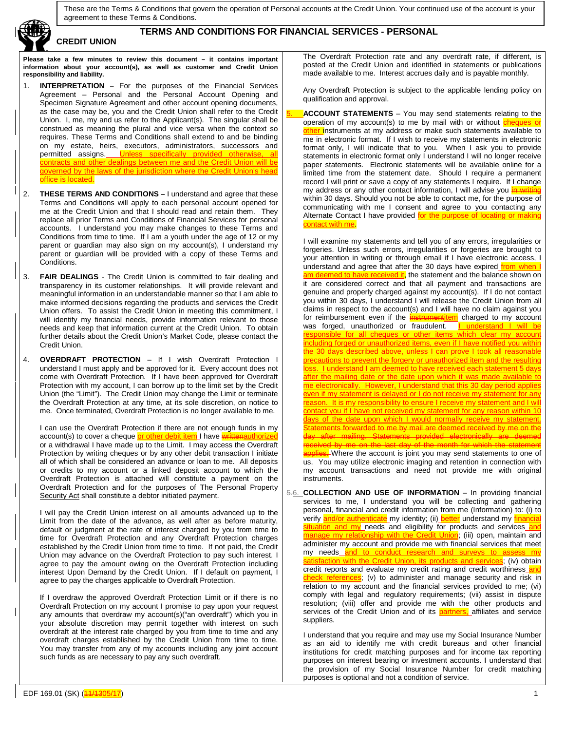

### **TERMS AND CONDITIONS FOR FINANCIAL SERVICES - PERSONAL**

**Please take a few minutes to review this document – it contains important information about your account(s), as well as customer and Credit Union responsibility and liability.**

- 1. **INTERPRETATION –** For the purposes of the Financial Services Agreement – Personal and the Personal Account Opening and Specimen Signature Agreement and other account opening documents, as the case may be, you and the Credit Union shall refer to the Credit Union. I, me, my and us refer to the Applicant(s). The singular shall be construed as meaning the plural and vice versa when the context so requires. These Terms and Conditions shall extend to and be binding on my estate, heirs, executors, administrators, successors and permitted assigns. Unless specifically provided otherwise, all contracts and other dealings between me and the Credit Union will be governed by the laws of the jurisdiction where the Credit Union's head office is located.
- 2. **THESE TERMS AND CONDITIONS –** I understand and agree that these Terms and Conditions will apply to each personal account opened for me at the Credit Union and that I should read and retain them. They replace all prior Terms and Conditions of Financial Services for personal accounts. I understand you may make changes to these Terms and Conditions from time to time. If I am a youth under the age of 12 or my parent or guardian may also sign on my account(s), I understand my parent or guardian will be provided with a copy of these Terms and Conditions.
- 3. **FAIR DEALINGS** The Credit Union is committed to fair dealing and transparency in its customer relationships. It will provide relevant and meaningful information in an understandable manner so that I am able to make informed decisions regarding the products and services the Credit Union offers. To assist the Credit Union in meeting this commitment, I will identify my financial needs, provide information relevant to those needs and keep that information current at the Credit Union. To obtain further details about the Credit Union's Market Code, please contact the Credit Union.
- 4. **OVERDRAFT PROTECTION** If I wish Overdraft Protection I understand I must apply and be approved for it. Every account does not come with Overdraft Protection. If I have been approved for Overdraft Protection with my account, I can borrow up to the limit set by the Credit Union (the "Limit"). The Credit Union may change the Limit or terminate the Overdraft Protection at any time, at its sole discretion, on notice to me. Once terminated, Overdraft Protection is no longer available to me.

I can use the Overdraft Protection if there are not enough funds in my account(s) to cover a cheque or other debit item I have written or a withdrawal I have made up to the Limit. I may access the Overdraft Protection by writing cheques or by any other debit transaction I initiate all of which shall be considered an advance or loan to me. All deposits or credits to my account or a linked deposit account to which the Overdraft Protection is attached will constitute a payment on the Overdraft Protection and for the purposes of The Personal Property Security Act shall constitute a debtor initiated payment.

I will pay the Credit Union interest on all amounts advanced up to the Limit from the date of the advance, as well after as before maturity, default or judgment at the rate of interest charged by you from time to time for Overdraft Protection and any Overdraft Protection charges established by the Credit Union from time to time. If not paid, the Credit Union may advance on the Overdraft Protection to pay such interest. I agree to pay the amount owing on the Overdraft Protection including interest Upon Demand by the Credit Union. If I default on payment, I agree to pay the charges applicable to Overdraft Protection.

If I overdraw the approved Overdraft Protection Limit or if there is no Overdraft Protection on my account I promise to pay upon your request any amounts that overdraw my account(s)("an overdraft") which you in your absolute discretion may permit together with interest on such overdraft at the interest rate charged by you from time to time and any overdraft charges established by the Credit Union from time to time. You may transfer from any of my accounts including any joint account such funds as are necessary to pay any such overdraft.

The Overdraft Protection rate and any overdraft rate, if different, is posted at the Credit Union and identified in statements or publications made available to me. Interest accrues daily and is payable monthly.

Any Overdraft Protection is subject to the applicable lending policy on qualification and approval.

**ACCOUNT STATEMENTS** – You may send statements relating to the operation of my account(s) to me by mail with or without cheques or other instruments at my address or make such statements available to me in electronic format. If I wish to receive my statements in electronic format only, I will indicate that to you. When I ask you to provide statements in electronic format only I understand I will no longer receive paper statements. Electronic statements will be available online for a limited time from the statement date. Should I require a permanent record I will print or save a copy of any statements I require. If I change my address or any other contact information, I will advise you  $\frac{1}{n+1}$ within 30 days. Should you not be able to contact me, for the purpose of communicating with me I consent and agree to you contacting any Alternate Contact I have provided for the purpose of locating or ma contact with me.

I will examine my statements and tell you of any errors, irregularities or forgeries. Unless such errors, irregularities or forgeries are brought to your attention in writing or through email if I have electronic access, I understand and agree that after the 30 days have expired from when am deemed to have received it, the statement and the balance shown on it are considered correct and that all payment and transactions are genuine and properly charged against my account(s). If I do not contact you within 30 days, I understand I will release the Credit Union from all claims in respect to the account(s) and I will have no claim against you for reimbursement even if the **instrumentitem** charged to my account<br>was forged, unauthorized or fraudulent. **I understand I will be** was forged, unauthorized or fraudulent. responsible for all cheques or other items which clear my account including forged or unauthorized items, even if I have notified you withir the 30 days described above, unless I can prove I took all reasonable precautions to prevent the forgery or unauthorized item and the resulting I understand I am deemed to have received each statement 5 days after the mailing date or the date upon which it was made available to ectronically. However, I understand that this 30 day period a ven if my statement is delayed or I do not receive my statement for reason. It is my responsibility to ensure I receive my statement and contact you if I have not received my statement for any reason within lays of the date upon which I would normally receive my statement Statements forwarded to me by mail are deemed received by me on the day after mailing. Statements provided electronically are deemed received by me on the last day of the month for which the statement -Where the account is joint you may send statements to one of us. You may utilize electronic imaging and retention in connection with my account transactions and need not provide me with original instruments.

5.6. **COLLECTION AND USE OF INFORMATION** – In providing financial services to me, I understand you will be collecting and gathering personal, financial and credit information from me (Information) to: (i) to verify **and/or authenticate** my identity; (ii) **better** understand my financial situation and my needs and eligibility for products and services and manage my relationship with the Credit Union; (iii) open, maintain and administer my account and provide me with financial services that meet my needs and to conduct research and surveys to assess my satisfaction with the Credit Union, its products and services: (iv) obtain credit reports and evaluate my credit rating and credit worthiness and check references; (v) to administer and manage security and risk in relation to my account and the financial services provided to me; (vi) comply with legal and regulatory requirements; (vii) assist in dispute resolution; (viii) offer and provide me with the other products and services of the Credit Union and of its **partners**, affiliates and service suppliers.

I understand that you require and may use my Social Insurance Number as an aid to identify me with credit bureaus and other financial institutions for credit matching purposes and for income tax reporting purposes on interest bearing or investment accounts. I understand that the provision of my Social Insurance Number for credit matching purposes is optional and not a condition of service.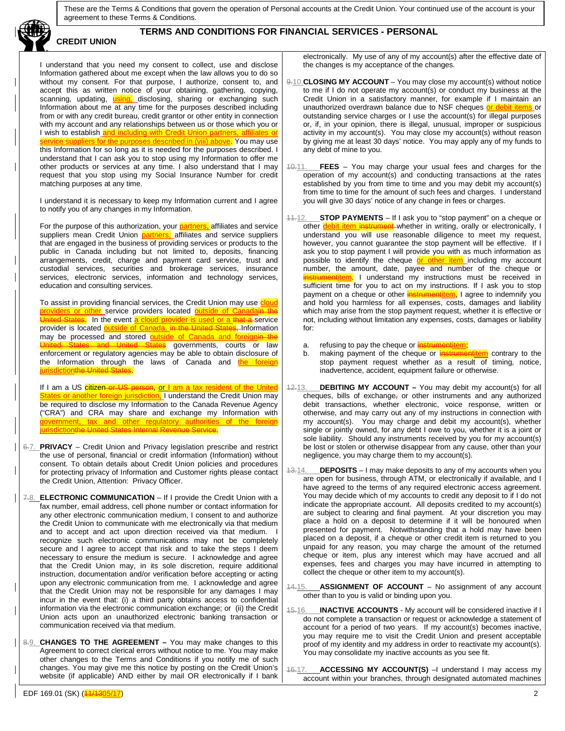

### **TERMS AND CONDITIONS FOR FINANCIAL SERVICES - PERSONAL**

I understand that you need my consent to collect, use and disclose Information gathered about me except when the law allows you to do so without my consent. For that purpose, I authorize, consent to, and accept this as written notice of your obtaining, gathering, copying, scanning, updating, using, disclosing, sharing or exchanging such Information about me at any time for the purposes described including from or with any credit bureau, credit grantor or other entity in connection with my account and any relationships between us or those which you or I wish to establish <mark>and including with Credit Union partners, affiliates or</mark> service suppliers for the purposes described in (viii) above. You may use this Information for so long as it is needed for the purposes described. I understand that I can ask you to stop using my Information to offer me other products or services at any time. I also understand that I may request that you stop using my Social Insurance Number for credit matching purposes at any time.

I understand it is necessary to keep my Information current and I agree to notify you of any changes in my Information.

For the purpose of this authorization, your **partners**, affiliates and service suppliers mean Credit Union **partners**, affiliates and service suppliers that are engaged in the business of providing services or products to the public in Canada including but not limited to, deposits, financing arrangements, credit, charge and payment card service, trust and custodial services, securities and brokerage services, insurance services, electronic services, information and technology services, education and consulting services.

To assist in providing financial services, the Credit Union may use **cloud** providers or other service providers located outside of Canadain the **es.** In the event <mark>a cloud provider is used or a that a</mark> service provider is located outside of Canada, in the United States, Information may be processed and stored **outside of Canada and foreignin** United States governments, courts or law enforcement or regulatory agencies may be able to obtain disclosure of the Information through the laws of Canada and the foreign jurisdictionthe United States.

If I am a US citizen or US person, <u>or I am a tax resident of the United</u> States or another foreign jurisdiction, I understand the Credit Union may be required to disclose my Information to the Canada Revenue Agency ("CRA") and CRA may share and exchange my Information with government, tax and other regulatory authorities of the foreign urisdictionthe United States Internal

- 6.7. **PRIVACY** Credit Union and Privacy legislation prescribe and restrict the use of personal, financial or credit information (Information) without consent. To obtain details about Credit Union policies and procedures for protecting privacy of Information and Customer rights please contact the Credit Union, Attention: Privacy Officer.
- 7.8. **ELECTRONIC COMMUNICATION**  If I provide the Credit Union with a fax number, email address, cell phone number or contact information for any other electronic communication medium, I consent to and authorize the Credit Union to communicate with me electronically via that medium and to accept and act upon direction received via that medium. I recognize such electronic communications may not be completely secure and I agree to accept that risk and to take the steps I deem necessary to ensure the medium is secure. I acknowledge and agree that the Credit Union may, in its sole discretion, require additional instruction, documentation and/or verification before accepting or acting upon any electronic communication from me. I acknowledge and agree that the Credit Union may not be responsible for any damages I may incur in the event that: (i) a third party obtains access to confidential information via the electronic communication exchange; or (ii) the Credit Union acts upon an unauthorized electronic banking transaction or communication received via that medium.
- 8.9. **CHANGES TO THE AGREEMENT –** You may make changes to this Agreement to correct clerical errors without notice to me. You may make other changes to the Terms and Conditions if you notify me of such changes. You may give me this notice by posting on the Credit Union's website (if applicable) AND either by mail OR electronically if I bank

electronically. My use of any of my account(s) after the effective date of the changes is my acceptance of the changes.

- 9.10.**CLOSING MY ACCOUNT** You may close my account(s) without notice to me if I do not operate my account(s) or conduct my business at the Credit Union in a satisfactory manner, for example if I maintain an unauthorized overdrawn balance due to NSF cheques or debit items or outstanding service charges or I use the account(s) for illegal purposes or, if, in your opinion, there is illegal, unusual, improper or suspicious activity in my account(s). You may close my account(s) without reason by giving me at least 30 days' notice. You may apply any of my funds to any debt of mine to you.
- 10.11. **FEES** You may charge your usual fees and charges for the operation of my account(s) and conducting transactions at the rates established by you from time to time and you may debit my account(s) from time to time for the amount of such fees and charges. I understand you will give 30 days' notice of any change in fees or charges.
- 11.12. **STOP PAYMENTS** If I ask you to "stop payment" on a cheque or other debit item instrument whether in writing, orally or electronically, I understand you will use reasonable diligence to meet my request, however, you cannot guarantee the stop payment will be effective. If I ask you to stop payment I will provide you with as much information as possible to identify the cheque or other item including my account number, the amount, date, payee and number of the cheque or **istrumentitem.** I understand my instructions must be received in sufficient time for you to act on my instructions. If I ask you to stop payment on a cheque or other **instrumentitem**, I agree to indemnify you and hold you harmless for all expenses, costs, damages and liability which may arise from the stop payment request, whether it is effective or not, including without limitation any expenses, costs, damages or liability for:
	- a. refusing to pay the cheque or **instrumentition**;<br>b. making payment of the cheque or **instrume**
	- making payment of the cheque or **instrumentilliem** contrary to the stop payment request whether as a result of timing, notice, inadvertence, accident, equipment failure or otherwise.
- 12.13. **DEBITING MY ACCOUNT –** You may debit my account(s) for all cheques, bills of exchange, or other instruments and any authorized debit transactions, whether electronic, voice response, written or otherwise, and may carry out any of my instructions in connection with my account(s). You may charge and debit my account(s), whether single or jointly owned, for any debt I owe to you, whether it is a joint or sole liability. Should any instruments received by you for my account(s) be lost or stolen or otherwise disappear from any cause, other than your negligence, you may charge them to my account(s).
- 13.14. **DEPOSITS** I may make deposits to any of my accounts when you are open for business, through ATM, or electronically if available, and I have agreed to the terms of any required electronic access agreement. You may decide which of my accounts to credit any deposit to if I do not indicate the appropriate account. All deposits credited to my account(s) are subject to clearing and final payment. At your discretion you may place a hold on a deposit to determine if it will be honoured when presented for payment. Notwithstanding that a hold may have been placed on a deposit, if a cheque or other credit item is returned to you unpaid for any reason, you may charge the amount of the returned cheque or item, plus any interest which may have accrued and all expenses, fees and charges you may have incurred in attempting to collect the cheque or other item to my account(s).
- 14.15. **ASSIGNMENT OF ACCOUNT** No assignment of any account other than to you is valid or binding upon you.
- 15.16. **INACTIVE ACCOUNTS** My account will be considered inactive if I do not complete a transaction or request or acknowledge a statement of account for a period of two years. If my account(s) becomes inactive, you may require me to visit the Credit Union and present acceptable proof of my identity and my address in order to reactivate my account(s). You may consolidate my inactive accounts as you see fit.
- ACCESSING MY ACCOUNT(S) -I understand I may access my account within your branches, through designated automated machines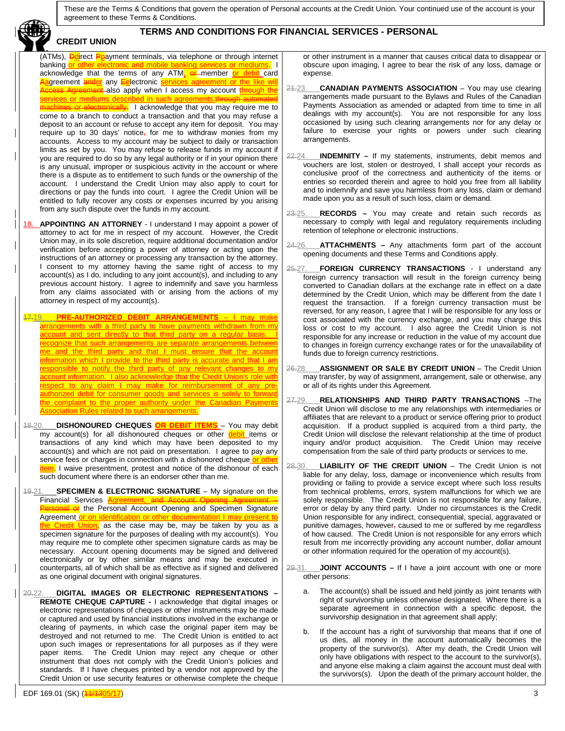## **TERMS AND CONDITIONS FOR FINANCIAL SERVICES - PERSONAL**

(ATMs), **Dd**irect Ppayment terminals, via telephone or through internet banking or other electronic and mobile banking services or mediums. I acknowledge that the terms of any ATM<del>, or member or debit card</del> Aagreement andor any Eelectronic services agreement or the like will **Agreement** also apply when I access my account **through the** services or mediums described in such agreements.through or electronically. I acknowledge that you may require me to come to a branch to conduct a transaction and that you may refuse a deposit to an account or refuse to accept any item for deposit. You may require up to 30 days' notice<sub></sub>, for me to withdraw monies from my accounts. Access to my account may be subject to daily or transaction limits as set by you. You may refuse to release funds in my account if you are required to do so by any legal authority or if in your opinion there is any unusual, improper or suspicious activity in the account or where there is a dispute as to entitlement to such funds or the ownership of the account. I understand the Credit Union may also apply to court for directions or pay the funds into court. I agree the Credit Union will be entitled to fully recover any costs or expenses incurred by you arising from any such dispute over the funds in my account.

**CREDIT UNION**

18. **APPOINTING AN ATTORNEY** - I understand I may appoint a power of attorney to act for me in respect of my account. However, the Credit Union may, in its sole discretion, require additional documentation and/or verification before accepting a power of attorney or acting upon the instructions of an attorney or processing any transaction by the attorney. I consent to my attorney having the same right of access to my account(s) as I do, including to any joint account(s), and including to any previous account history. I agree to indemnify and save you harmless from any claims associated with or arising from the actions of my attorney in respect of my account(s).

17.19. **PRE-AUTHORIZED DEBIT ARRANGEMENTS** – I may make arrangements with a third party to have payments withdrawn from my account and sent directly to that third party on a regular basis. recognize that such arrangements are separate arrangements betweer me and the third party and that I must ensure that the account information which I provide to the third party is accurate and that I am responsible to notify the third party of any relevant changes to my account information. I also acknowledge that the Credit Union's role with to any claim I may make for reimbursement of any preauthorized debit for consumer goods and services is solely to forward the complaint to the proper authority under the Canadian Payments **Association Rules related to such arrangements.** 

- 18.20. **DISHONOURED CHEQUES OR DEBIT ITEMS** You may debit my account(s) for all dishonoured cheques or other debit items or transactions of any kind which may have been deposited to my account(s) and which are not paid on presentation. I agree to pay any service fees or charges in connection with a dishonored cheque or other item. I waive presentment, protest and notice of the dishonour of each such document where there is an endorser other than me.
- 19.21. **SPECIMEN & ELECTRONIC SIGNATURE** My signature on the Financial Services Agreement **Preonal or** the Personal Account Opening and Specimen Signature Agreement or on identification or other documentation I may present to the Credit Union, as the case may be, may be taken by you as a specimen signature for the purposes of dealing with my account(s). You may require me to complete other specimen signature cards as may be necessary. Account opening documents may be signed and delivered electronically or by other similar means and may be executed in counterparts, all of which shall be as effective as if signed and delivered as one original document with original signatures.
- 20.22. **DIGITAL IMAGES OR ELECTRONIC REPRESENTATIONS – REMOTE CHEQUE CAPTURE -** I acknowledge that digital images or electronic representations of cheques or other instruments may be made or captured and used by financial institutions involved in the exchange or clearing of payments, in which case the original paper item may be destroyed and not returned to me. The Credit Union is entitled to act upon such images or representations for all purposes as if they were paper items. The Credit Union may reject any cheque or other The Credit Union may reject any cheque or other instrument that does not comply with the Credit Union's policies and standards. If I have cheques printed by a vendor not approved by the Credit Union or use security features or otherwise complete the cheque

or other instrument in a manner that causes critical data to disappear or obscure upon imaging, I agree to bear the risk of any loss, damage or expense.

- 21.23. **CANADIAN PAYMENTS ASSOCIATION** You may use clearing arrangements made pursuant to the Bylaws and Rules of the Canadian Payments Association as amended or adapted from time to time in all dealings with my account(s). You are not responsible for any loss occasioned by using such clearing arrangements nor for any delay or failure to exercise your rights or powers under such clearing arrangements.
- 22.24. **INDEMNITY –** If my statements, instruments, debit memos and vouchers are lost, stolen or destroyed, I shall accept your records as conclusive proof of the correctness and authenticity of the items or entries so recorded therein and agree to hold you free from all liability and to indemnify and save you harmless from any loss, claim or demand made upon you as a result of such loss, claim or demand.
- 23.25. **RECORDS –** You may create and retain such records as necessary to comply with legal and regulatory requirements including retention of telephone or electronic instructions.
- 24.26. **ATTACHMENTS –** Any attachments form part of the account opening documents and these Terms and Conditions apply.
- 25.27. **FOREIGN CURRENCY TRANSACTIONS**  I understand any foreign currency transaction will result in the foreign currency being converted to Canadian dollars at the exchange rate in effect on a date determined by the Credit Union, which may be different from the date I request the transaction. If a foreign currency transaction must be reversed, for any reason, I agree that I will be responsible for any loss or cost associated with the currency exchange, and you may charge this loss or cost to my account. I also agree the Credit Union is not responsible for any increase or reduction in the value of my account due to changes in foreign currency exchange rates or for the unavailability of funds due to foreign currency restrictions.
- 26.28. **ASSIGNMENT OR SALE BY CREDIT UNION** The Credit Union may transfer, by way of assignment, arrangement, sale or otherwise, any or all of its rights under this Agreement.
- 27.29. **RELATIONSHIPS AND THIRD PARTY TRANSACTIONS** –The Credit Union will disclose to me any relationships with intermediaries or affiliates that are relevant to a product or service offering prior to product acquisition. If a product supplied is acquired from a third party, the Credit Union will disclose the relevant relationship at the time of product inquiry and/or product acquisition. The Credit Union may receive compensation from the sale of third party products or services to me.
- 28.30. **LIABILITY OF THE CREDIT UNION** The Credit Union is not liable for any delay, loss, damage or inconvenience which results from providing or failing to provide a service except where such loss results from technical problems, errors, system malfunctions for which we are solely responsible. The Credit Union is not responsible for any failure, error or delay by any third party. Under no circumstances is the Credit Union responsible for any indirect, consequential, special, aggravated or punitive damages, however, caused to me or suffered by me regardless of how caused. The Credit Union is not responsible for any errors which result from me incorrectly providing any account number, dollar amount or other information required for the operation of my account(s).
- 29.31. **JOINT ACCOUNTS –** If I have a joint account with one or more other persons:
	- The account(s) shall be issued and held jointly as joint tenants with right of survivorship unless otherwise designated. Where there is a separate agreement in connection with a specific deposit, the survivorship designation in that agreement shall apply;
	- b. If the account has a right of survivorship that means that if one of us dies, all money in the account automatically becomes the property of the survivor(s). After my death, the Credit Union will only have obligations with respect to the account to the survivor(s), and anyone else making a claim against the account must deal with the survivors(s). Upon the death of the primary account holder, the